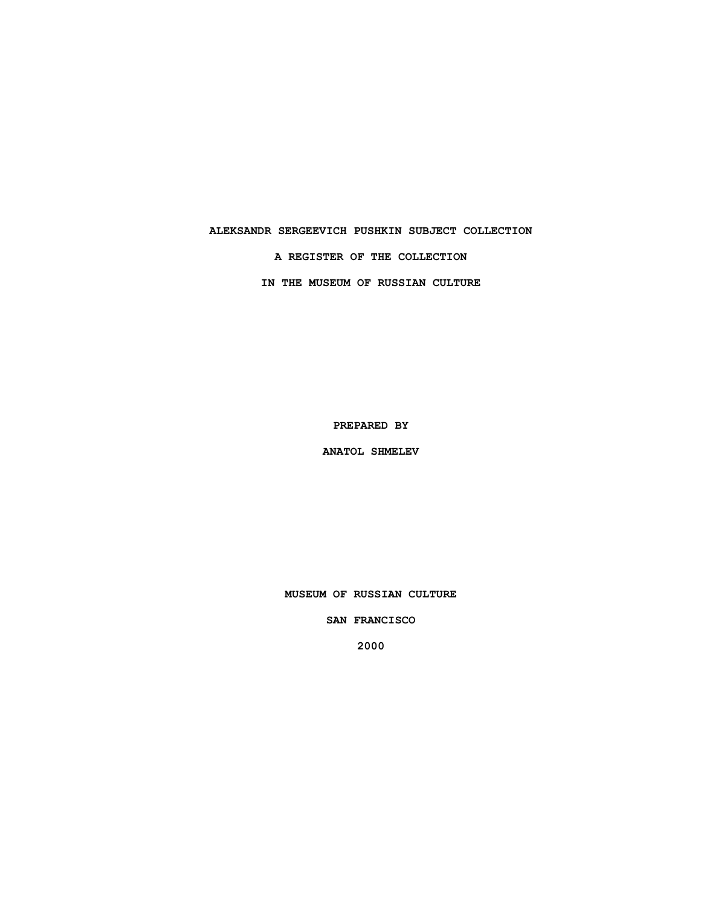## **ALEKSANDR SERGEEVICH PUSHKIN SUBJECT COLLECTION**

**A REGISTER OF THE COLLECTION**

**IN THE MUSEUM OF RUSSIAN CULTURE**

**PREPARED BY**

**ANATOL SHMELEV**

**MUSEUM OF RUSSIAN CULTURE**

**SAN FRANCISCO**

**2000**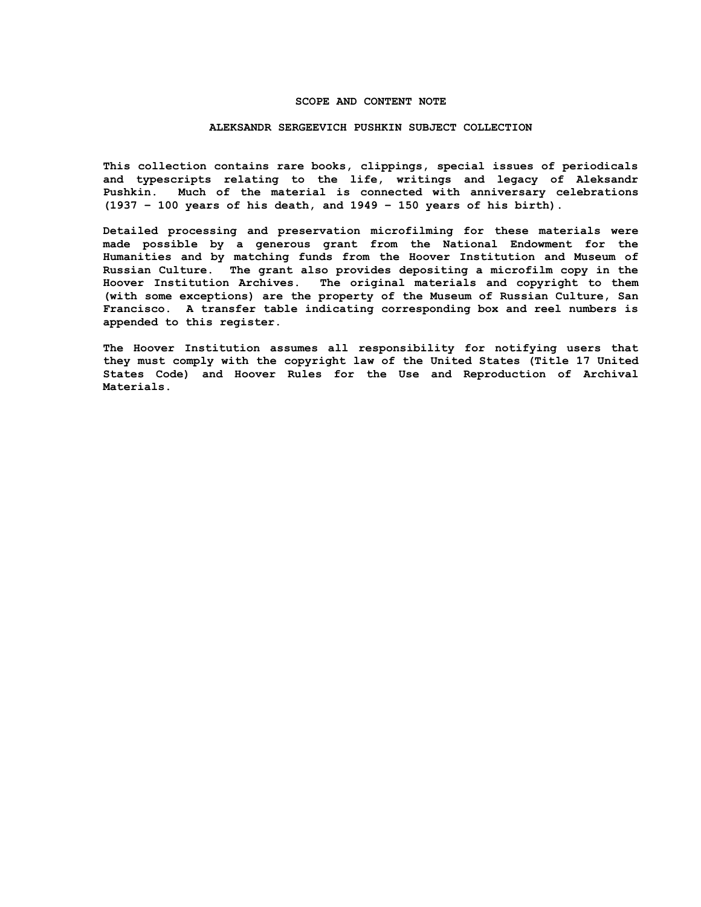#### **SCOPE AND CONTENT NOTE**

#### **ALEKSANDR SERGEEVICH PUSHKIN SUBJECT COLLECTION**

**This collection contains rare books, clippings, special issues of periodicals and typescripts relating to the life, writings and legacy of Aleksandr Pushkin. Much of the material is connected with anniversary celebrations (1937 – 100 years of his death, and 1949 – 150 years of his birth).**

**Detailed processing and preservation microfilming for these materials were made possible by a generous grant from the National Endowment for the Humanities and by matching funds from the Hoover Institution and Museum of Russian Culture. The grant also provides depositing a microfilm copy in the Hoover Institution Archives. The original materials and copyright to them (with some exceptions) are the property of the Museum of Russian Culture, San Francisco. A transfer table indicating corresponding box and reel numbers is appended to this register.**

**The Hoover Institution assumes all responsibility for notifying users that they must comply with the copyright law of the United States (Title 17 United States Code) and Hoover Rules for the Use and Reproduction of Archival Materials.**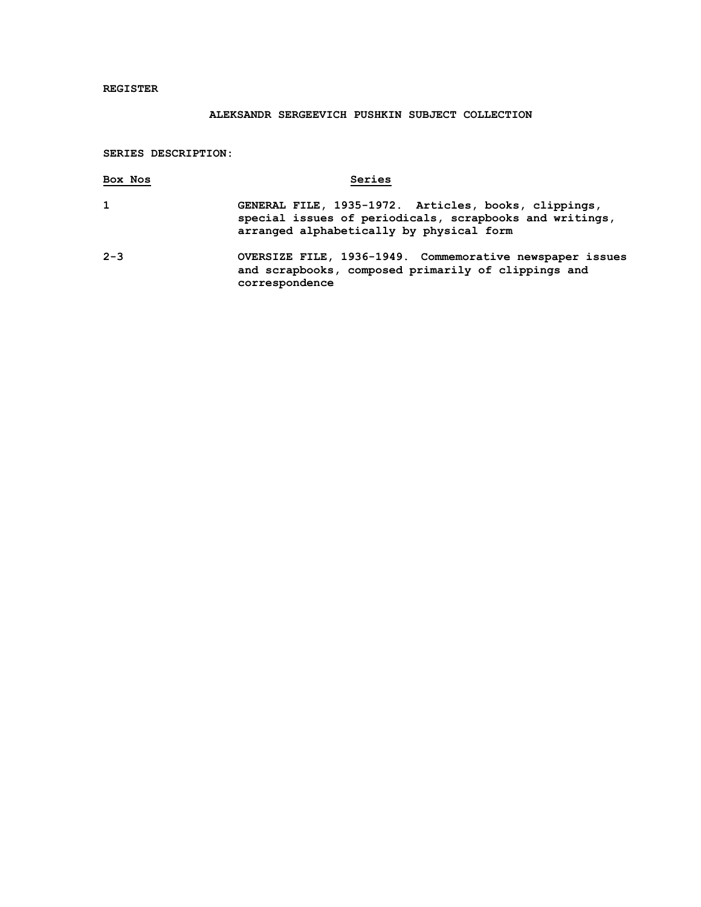## **REGISTER**

# **ALEKSANDR SERGEEVICH PUSHKIN SUBJECT COLLECTION**

### **SERIES DESCRIPTION:**

| Box Nos | Series                                                                                                                                                      |
|---------|-------------------------------------------------------------------------------------------------------------------------------------------------------------|
| 1       | GENERAL FILE, 1935-1972. Articles, books, clippings,<br>special issues of periodicals, scrapbooks and writings,<br>arranged alphabetically by physical form |
| $2 - 3$ | OVERSIZE FILE, 1936-1949. Commemorative newspaper issues<br>and scrapbooks, composed primarily of clippings and<br>correspondence                           |